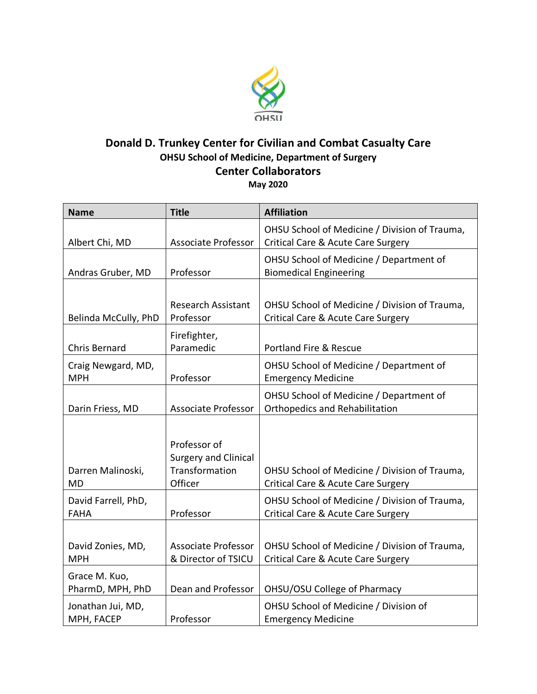

## **Donald D. Trunkey Center for Civilian and Combat Casualty Care OHSU School of Medicine, Department of Surgery Center Collaborators**

**May 2020**

| <b>Name</b>                        | <b>Title</b>                                                             | <b>Affiliation</b>                                                                  |
|------------------------------------|--------------------------------------------------------------------------|-------------------------------------------------------------------------------------|
| Albert Chi, MD                     | <b>Associate Professor</b>                                               | OHSU School of Medicine / Division of Trauma,<br>Critical Care & Acute Care Surgery |
| Andras Gruber, MD                  | Professor                                                                | OHSU School of Medicine / Department of<br><b>Biomedical Engineering</b>            |
| Belinda McCully, PhD               | <b>Research Assistant</b><br>Professor                                   | OHSU School of Medicine / Division of Trauma,<br>Critical Care & Acute Care Surgery |
| <b>Chris Bernard</b>               | Firefighter,<br>Paramedic                                                | <b>Portland Fire &amp; Rescue</b>                                                   |
| Craig Newgard, MD,<br><b>MPH</b>   | Professor                                                                | OHSU School of Medicine / Department of<br><b>Emergency Medicine</b>                |
| Darin Friess, MD                   | <b>Associate Professor</b>                                               | OHSU School of Medicine / Department of<br><b>Orthopedics and Rehabilitation</b>    |
| Darren Malinoski,<br><b>MD</b>     | Professor of<br><b>Surgery and Clinical</b><br>Transformation<br>Officer | OHSU School of Medicine / Division of Trauma,<br>Critical Care & Acute Care Surgery |
| David Farrell, PhD,<br><b>FAHA</b> | Professor                                                                | OHSU School of Medicine / Division of Trauma,<br>Critical Care & Acute Care Surgery |
| David Zonies, MD,<br><b>MPH</b>    | <b>Associate Professor</b><br>& Director of TSICU                        | OHSU School of Medicine / Division of Trauma,<br>Critical Care & Acute Care Surgery |
| Grace M. Kuo,<br>PharmD, MPH, PhD  | Dean and Professor                                                       | OHSU/OSU College of Pharmacy                                                        |
| Jonathan Jui, MD,<br>MPH, FACEP    | Professor                                                                | OHSU School of Medicine / Division of<br><b>Emergency Medicine</b>                  |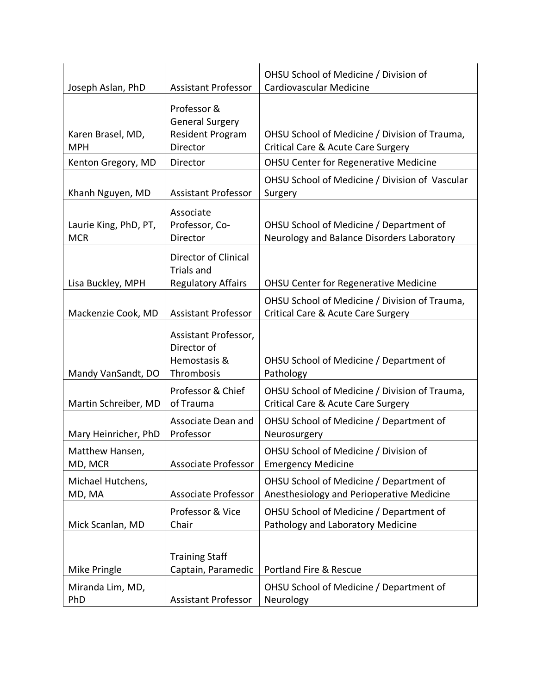| Joseph Aslan, PhD                   | <b>Assistant Professor</b>                                                   | OHSU School of Medicine / Division of<br>Cardiovascular Medicine                      |
|-------------------------------------|------------------------------------------------------------------------------|---------------------------------------------------------------------------------------|
| Karen Brasel, MD,<br><b>MPH</b>     | Professor &<br><b>General Surgery</b><br><b>Resident Program</b><br>Director | OHSU School of Medicine / Division of Trauma,<br>Critical Care & Acute Care Surgery   |
| Kenton Gregory, MD                  | Director                                                                     | <b>OHSU Center for Regenerative Medicine</b>                                          |
| Khanh Nguyen, MD                    | <b>Assistant Professor</b>                                                   | OHSU School of Medicine / Division of Vascular<br>Surgery                             |
| Laurie King, PhD, PT,<br><b>MCR</b> | Associate<br>Professor, Co-<br>Director                                      | OHSU School of Medicine / Department of<br>Neurology and Balance Disorders Laboratory |
| Lisa Buckley, MPH                   | Director of Clinical<br><b>Trials and</b><br><b>Regulatory Affairs</b>       | <b>OHSU Center for Regenerative Medicine</b>                                          |
| Mackenzie Cook, MD                  | <b>Assistant Professor</b>                                                   | OHSU School of Medicine / Division of Trauma,<br>Critical Care & Acute Care Surgery   |
| Mandy VanSandt, DO                  | Assistant Professor,<br>Director of<br>Hemostasis &<br>Thrombosis            | OHSU School of Medicine / Department of<br>Pathology                                  |
| Martin Schreiber, MD                | Professor & Chief<br>of Trauma                                               | OHSU School of Medicine / Division of Trauma,<br>Critical Care & Acute Care Surgery   |
| Mary Heinricher, PhD                | Associate Dean and<br>Professor                                              | OHSU School of Medicine / Department of<br>Neurosurgery                               |
| Matthew Hansen,<br>MD, MCR          | <b>Associate Professor</b>                                                   | OHSU School of Medicine / Division of<br><b>Emergency Medicine</b>                    |
| Michael Hutchens,<br>MD, MA         | <b>Associate Professor</b>                                                   | OHSU School of Medicine / Department of<br>Anesthesiology and Perioperative Medicine  |
| Mick Scanlan, MD                    | Professor & Vice<br>Chair                                                    | OHSU School of Medicine / Department of<br>Pathology and Laboratory Medicine          |
| Mike Pringle                        | <b>Training Staff</b><br>Captain, Paramedic                                  | Portland Fire & Rescue                                                                |
| Miranda Lim, MD,<br>PhD             | <b>Assistant Professor</b>                                                   | OHSU School of Medicine / Department of<br>Neurology                                  |